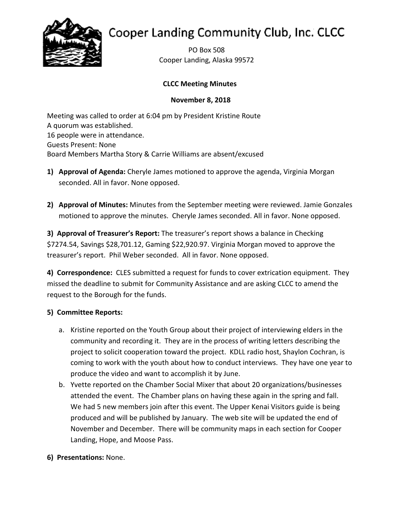

# Cooper Landing Community Club, Inc. CLCC

PO Box 508 Cooper Landing, Alaska 99572

# **CLCC Meeting Minutes**

## **November 8, 2018**

Meeting was called to order at 6:04 pm by President Kristine Route A quorum was established. 16 people were in attendance. Guests Present: None Board Members Martha Story & Carrie Williams are absent/excused

- **1) Approval of Agenda:** Cheryle James motioned to approve the agenda, Virginia Morgan seconded. All in favor. None opposed.
- **2) Approval of Minutes:** Minutes from the September meeting were reviewed. Jamie Gonzales motioned to approve the minutes. Cheryle James seconded. All in favor. None opposed.

**3) Approval of Treasurer's Report:** The treasurer's report shows a balance in Checking \$7274.54, Savings \$28,701.12, Gaming \$22,920.97. Virginia Morgan moved to approve the treasurer's report. Phil Weber seconded. All in favor. None opposed.

**4) Correspondence:** CLES submitted a request for funds to cover extrication equipment. They missed the deadline to submit for Community Assistance and are asking CLCC to amend the request to the Borough for the funds.

# **5) Committee Reports:**

- a. Kristine reported on the Youth Group about their project of interviewing elders in the community and recording it. They are in the process of writing letters describing the project to solicit cooperation toward the project. KDLL radio host, Shaylon Cochran, is coming to work with the youth about how to conduct interviews. They have one year to produce the video and want to accomplish it by June.
- b. Yvette reported on the Chamber Social Mixer that about 20 organizations/businesses attended the event. The Chamber plans on having these again in the spring and fall. We had 5 new members join after this event. The Upper Kenai Visitors guide is being produced and will be published by January. The web site will be updated the end of November and December. There will be community maps in each section for Cooper Landing, Hope, and Moose Pass.
- **6) Presentations:** None.